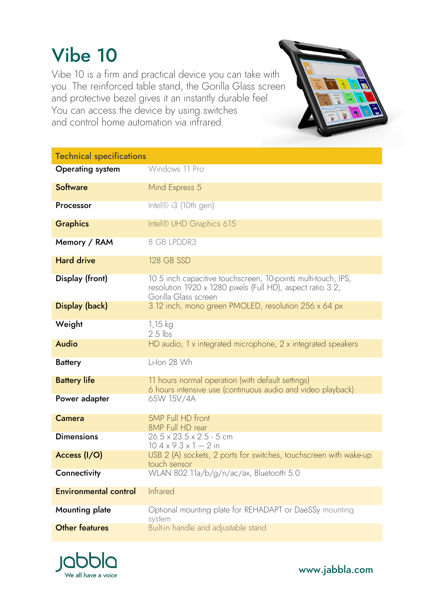## Vibe 10

Vibe 10 is a firm and practical device you can take with you. The reinforced table stand, the Gorilla Glass screen and protective bezel gives it an instantly durable feel. You can access the device by using switches and control home automation via infrared.

Technical specifications **Operating system** Windows 11 Pro **Software** Mind Express 5 Processor Intel® i3 (10th gen) Graphics Intel® UHD Graphics 615 Memory / RAM 8 GB LPDDR3 Hard drive 128 GB SSD **Display (front)** 10.5 inch capacitive touchscreen, 10-points multi-touch, IPS, resolution 1920 x 1280 pixels (Full HD), aspect ratio 3:2, Gorilla Glass screen **Display (back)** 3.12 inch, mono green PMOLED, resolution 256 x 64 px Weight 1,15 kg 2.5 lbs Audio **Audio HD** audio, 1 x integrated microphone, 2 x integrated speakers Battery Li-Ion 28 Wh **Battery life** 11 hours normal operation (with default settings) 6 hours intensive use (continuous audio and video playback) Power adapter 65W 15V/4A **Camera** 5MP Full HD front 8MP Full HD rear **Dimensions**  $26.5 \times 23.5 \times 2.5 - 5$  cm  $10.4 \times 9.3 \times 1 - 2$  in Access (I/O) USB 2 (A) sockets, 2 ports for switches, touchscreen with wake-up touch sensor **Connectivity** WLAN 802.11a/b/g/n/ac/ax, Bluetooth 5.0 Environmental control Infrared **Mounting plate Optional mounting plate for REHADAPT or DaeSSy mounting** system **Other features Built-in handle and adjustable stand** 



www.jabbla.com